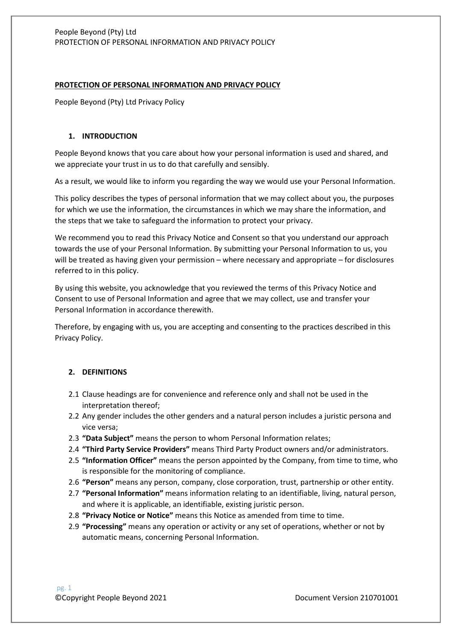#### **PROTECTION OF PERSONAL INFORMATION AND PRIVACY POLICY**

People Beyond (Pty) Ltd Privacy Policy

### **1. INTRODUCTION**

People Beyond knows that you care about how your personal information is used and shared, and we appreciate your trust in us to do that carefully and sensibly.

As a result, we would like to inform you regarding the way we would use your Personal Information.

This policy describes the types of personal information that we may collect about you, the purposes for which we use the information, the circumstances in which we may share the information, and the steps that we take to safeguard the information to protect your privacy.

We recommend you to read this Privacy Notice and Consent so that you understand our approach towards the use of your Personal Information. By submitting your Personal Information to us, you will be treated as having given your permission – where necessary and appropriate – for disclosures referred to in this policy.

By using this website, you acknowledge that you reviewed the terms of this Privacy Notice and Consent to use of Personal Information and agree that we may collect, use and transfer your Personal Information in accordance therewith.

Therefore, by engaging with us, you are accepting and consenting to the practices described in this Privacy Policy.

## **2. DEFINITIONS**

- 2.1 Clause headings are for convenience and reference only and shall not be used in the interpretation thereof;
- 2.2 Any gender includes the other genders and a natural person includes a juristic persona and vice versa;
- 2.3 **"Data Subject"** means the person to whom Personal Information relates;
- 2.4 **"Third Party Service Providers"** means Third Party Product owners and/or administrators.
- 2.5 **"Information Officer"** means the person appointed by the Company, from time to time, who is responsible for the monitoring of compliance.
- 2.6 **"Person"** means any person, company, close corporation, trust, partnership or other entity.
- 2.7 **"Personal Information"** means information relating to an identifiable, living, natural person, and where it is applicable, an identifiable, existing juristic person.
- 2.8 **"Privacy Notice or Notice"** means this Notice as amended from time to time.
- 2.9 **"Processing"** means any operation or activity or any set of operations, whether or not by automatic means, concerning Personal Information.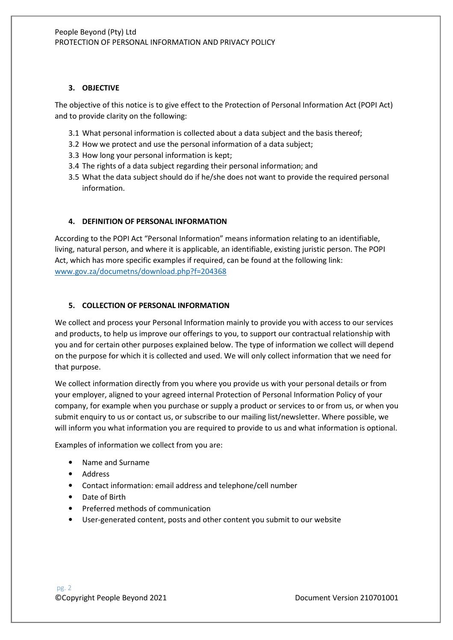## **3. OBJECTIVE**

The objective of this notice is to give effect to the Protection of Personal Information Act (POPI Act) and to provide clarity on the following:

- 3.1 What personal information is collected about a data subject and the basis thereof;
- 3.2 How we protect and use the personal information of a data subject;
- 3.3 How long your personal information is kept;
- 3.4 The rights of a data subject regarding their personal information; and
- 3.5 What the data subject should do if he/she does not want to provide the required personal information.

#### **4. DEFINITION OF PERSONAL INFORMATION**

According to the POPI Act "Personal Information" means information relating to an identifiable, living, natural person, and where it is applicable, an identifiable, existing juristic person. The POPI Act, which has more specific examples if required, can be found at the following link: www.gov.za/documetns/download.php?f=204368

#### **5. COLLECTION OF PERSONAL INFORMATION**

We collect and process your Personal Information mainly to provide you with access to our services and products, to help us improve our offerings to you, to support our contractual relationship with you and for certain other purposes explained below. The type of information we collect will depend on the purpose for which it is collected and used. We will only collect information that we need for that purpose.

We collect information directly from you where you provide us with your personal details or from your employer, aligned to your agreed internal Protection of Personal Information Policy of your company, for example when you purchase or supply a product or services to or from us, or when you submit enquiry to us or contact us, or subscribe to our mailing list/newsletter. Where possible, we will inform you what information you are required to provide to us and what information is optional.

Examples of information we collect from you are:

- Name and Surname
- Address
- Contact information: email address and telephone/cell number
- Date of Birth
- Preferred methods of communication
- User-generated content, posts and other content you submit to our website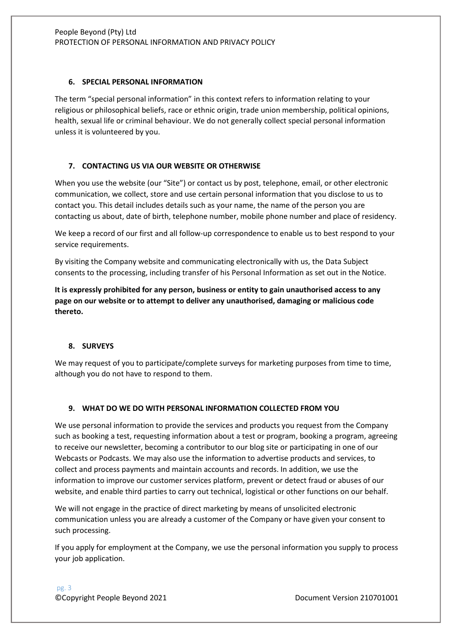### **6. SPECIAL PERSONAL INFORMATION**

The term "special personal information" in this context refers to information relating to your religious or philosophical beliefs, race or ethnic origin, trade union membership, political opinions, health, sexual life or criminal behaviour. We do not generally collect special personal information unless it is volunteered by you.

# **7. CONTACTING US VIA OUR WEBSITE OR OTHERWISE**

When you use the website (our "Site") or contact us by post, telephone, email, or other electronic communication, we collect, store and use certain personal information that you disclose to us to contact you. This detail includes details such as your name, the name of the person you are contacting us about, date of birth, telephone number, mobile phone number and place of residency.

We keep a record of our first and all follow-up correspondence to enable us to best respond to your service requirements.

By visiting the Company website and communicating electronically with us, the Data Subject consents to the processing, including transfer of his Personal Information as set out in the Notice.

**It is expressly prohibited for any person, business or entity to gain unauthorised access to any page on our website or to attempt to deliver any unauthorised, damaging or malicious code thereto.** 

## **8. SURVEYS**

We may request of you to participate/complete surveys for marketing purposes from time to time, although you do not have to respond to them.

## **9. WHAT DO WE DO WITH PERSONAL INFORMATION COLLECTED FROM YOU**

We use personal information to provide the services and products you request from the Company such as booking a test, requesting information about a test or program, booking a program, agreeing to receive our newsletter, becoming a contributor to our blog site or participating in one of our Webcasts or Podcasts. We may also use the information to advertise products and services, to collect and process payments and maintain accounts and records. In addition, we use the information to improve our customer services platform, prevent or detect fraud or abuses of our website, and enable third parties to carry out technical, logistical or other functions on our behalf.

We will not engage in the practice of direct marketing by means of unsolicited electronic communication unless you are already a customer of the Company or have given your consent to such processing.

If you apply for employment at the Company, we use the personal information you supply to process your job application.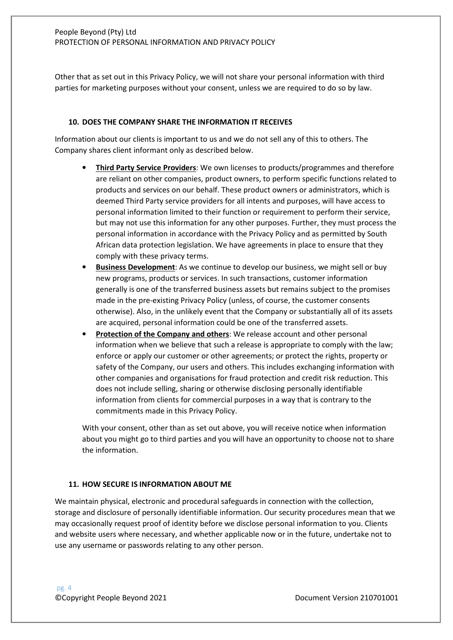Other that as set out in this Privacy Policy, we will not share your personal information with third parties for marketing purposes without your consent, unless we are required to do so by law.

#### **10. DOES THE COMPANY SHARE THE INFORMATION IT RECEIVES**

Information about our clients is important to us and we do not sell any of this to others. The Company shares client informant only as described below.

- **Third Party Service Providers**: We own licenses to products/programmes and therefore are reliant on other companies, product owners, to perform specific functions related to products and services on our behalf. These product owners or administrators, which is deemed Third Party service providers for all intents and purposes, will have access to personal information limited to their function or requirement to perform their service, but may not use this information for any other purposes. Further, they must process the personal information in accordance with the Privacy Policy and as permitted by South African data protection legislation. We have agreements in place to ensure that they comply with these privacy terms.
- **Business Development**: As we continue to develop our business, we might sell or buy new programs, products or services. In such transactions, customer information generally is one of the transferred business assets but remains subject to the promises made in the pre-existing Privacy Policy (unless, of course, the customer consents otherwise). Also, in the unlikely event that the Company or substantially all of its assets are acquired, personal information could be one of the transferred assets.
- **Protection of the Company and others:** We release account and other personal information when we believe that such a release is appropriate to comply with the law; enforce or apply our customer or other agreements; or protect the rights, property or safety of the Company, our users and others. This includes exchanging information with other companies and organisations for fraud protection and credit risk reduction. This does not include selling, sharing or otherwise disclosing personally identifiable information from clients for commercial purposes in a way that is contrary to the commitments made in this Privacy Policy.

With your consent, other than as set out above, you will receive notice when information about you might go to third parties and you will have an opportunity to choose not to share the information.

#### **11. HOW SECURE IS INFORMATION ABOUT ME**

We maintain physical, electronic and procedural safeguards in connection with the collection, storage and disclosure of personally identifiable information. Our security procedures mean that we may occasionally request proof of identity before we disclose personal information to you. Clients and website users where necessary, and whether applicable now or in the future, undertake not to use any username or passwords relating to any other person.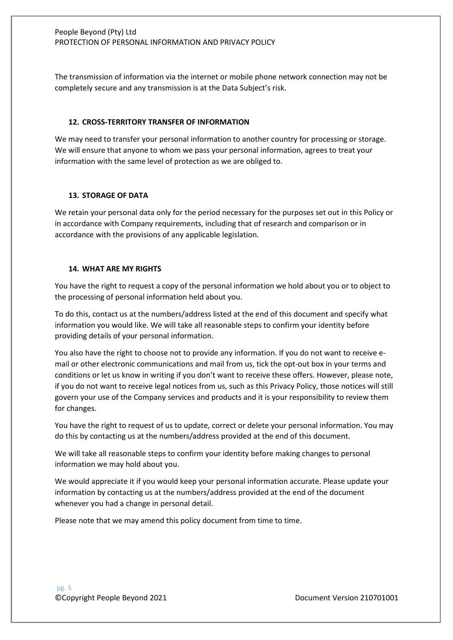The transmission of information via the internet or mobile phone network connection may not be completely secure and any transmission is at the Data Subject's risk.

#### **12. CROSS-TERRITORY TRANSFER OF INFORMATION**

We may need to transfer your personal information to another country for processing or storage. We will ensure that anyone to whom we pass your personal information, agrees to treat your information with the same level of protection as we are obliged to.

#### **13. STORAGE OF DATA**

We retain your personal data only for the period necessary for the purposes set out in this Policy or in accordance with Company requirements, including that of research and comparison or in accordance with the provisions of any applicable legislation.

## **14. WHAT ARE MY RIGHTS**

You have the right to request a copy of the personal information we hold about you or to object to the processing of personal information held about you.

To do this, contact us at the numbers/address listed at the end of this document and specify what information you would like. We will take all reasonable steps to confirm your identity before providing details of your personal information.

You also have the right to choose not to provide any information. If you do not want to receive email or other electronic communications and mail from us, tick the opt-out box in your terms and conditions or let us know in writing if you don't want to receive these offers. However, please note, if you do not want to receive legal notices from us, such as this Privacy Policy, those notices will still govern your use of the Company services and products and it is your responsibility to review them for changes.

You have the right to request of us to update, correct or delete your personal information. You may do this by contacting us at the numbers/address provided at the end of this document.

We will take all reasonable steps to confirm your identity before making changes to personal information we may hold about you.

We would appreciate it if you would keep your personal information accurate. Please update your information by contacting us at the numbers/address provided at the end of the document whenever you had a change in personal detail.

Please note that we may amend this policy document from time to time.